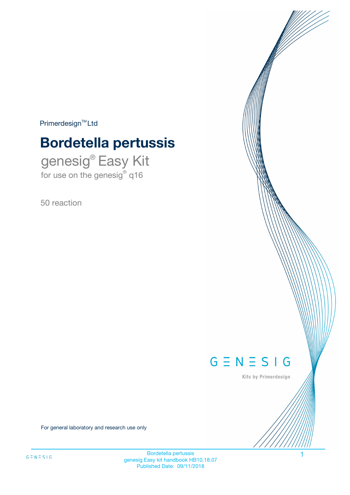$Primerdesign^{\text{TM}}Ltd$ 

# **Bordetella pertussis**

genesig® Easy Kit for use on the genesig® q16

50 reaction



Kits by Primerdesign

For general laboratory and research use only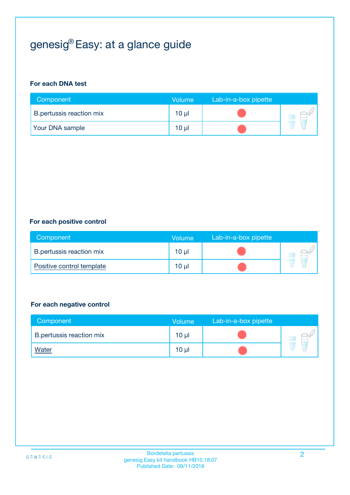# genesig® Easy: at a glance guide

#### **For each DNA test**

| Component                | <b>Volume</b> | Lab-in-a-box pipette |  |
|--------------------------|---------------|----------------------|--|
| B.pertussis reaction mix | 10 µl         |                      |  |
| <b>Your DNA sample</b>   | 10 µl         |                      |  |

#### **For each positive control**

| Component                 | Volume   | Lab-in-a-box pipette |  |
|---------------------------|----------|----------------------|--|
| B.pertussis reaction mix  | $10 \mu$ |                      |  |
| Positive control template | $10 \mu$ |                      |  |

#### **For each negative control**

| Component                       | <b>Volume</b>   | Lab-in-a-box pipette |  |
|---------------------------------|-----------------|----------------------|--|
| <b>B.pertussis reaction mix</b> | 10 <sub>µ</sub> |                      |  |
| <u>Water</u>                    | 10 <sub>µ</sub> |                      |  |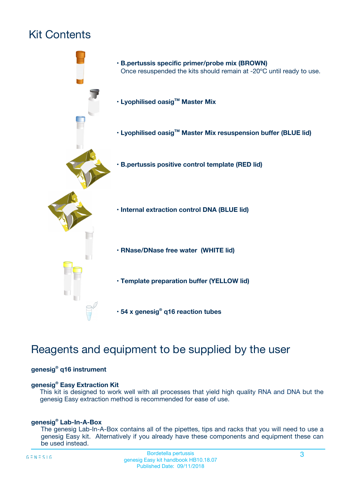# Kit Contents



# Reagents and equipment to be supplied by the user

#### **genesig® q16 instrument**

#### **genesig® Easy Extraction Kit**

This kit is designed to work well with all processes that yield high quality RNA and DNA but the genesig Easy extraction method is recommended for ease of use.

#### **genesig® Lab-In-A-Box**

The genesig Lab-In-A-Box contains all of the pipettes, tips and racks that you will need to use a genesig Easy kit. Alternatively if you already have these components and equipment these can be used instead.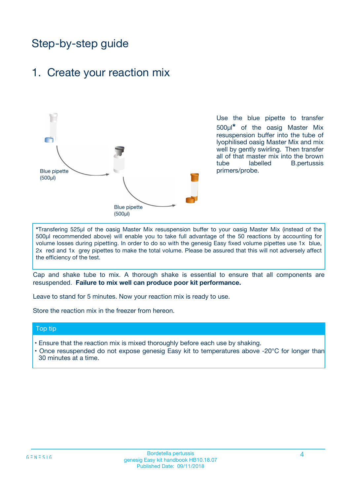# Step-by-step guide

### 1. Create your reaction mix



Use the blue pipette to transfer 500µl**\*** of the oasig Master Mix resuspension buffer into the tube of lyophilised oasig Master Mix and mix well by gently swirling. Then transfer all of that master mix into the brown tube labelled B.pertussis primers/probe.

**\***Transfering 525µl of the oasig Master Mix resuspension buffer to your oasig Master Mix (instead of the 500µl recommended above) will enable you to take full advantage of the 50 reactions by accounting for volume losses during pipetting. In order to do so with the genesig Easy fixed volume pipettes use 1x blue, 2x red and 1x grey pipettes to make the total volume. Please be assured that this will not adversely affect the efficiency of the test.

Cap and shake tube to mix. A thorough shake is essential to ensure that all components are resuspended. **Failure to mix well can produce poor kit performance.**

Leave to stand for 5 minutes. Now your reaction mix is ready to use.

Store the reaction mix in the freezer from hereon.

#### Top tip

- Ensure that the reaction mix is mixed thoroughly before each use by shaking.
- **•** Once resuspended do not expose genesig Easy kit to temperatures above -20°C for longer than 30 minutes at a time.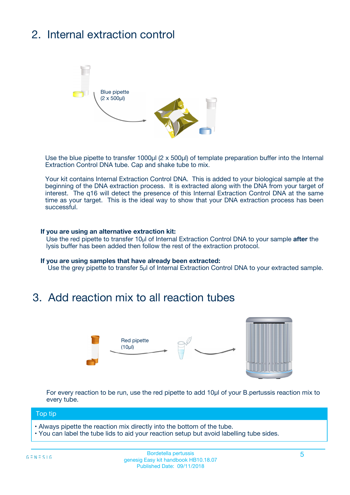# 2. Internal extraction control



Use the blue pipette to transfer 1000µl (2 x 500µl) of template preparation buffer into the Internal Extraction Control DNA tube. Cap and shake tube to mix.

Your kit contains Internal Extraction Control DNA. This is added to your biological sample at the beginning of the DNA extraction process. It is extracted along with the DNA from your target of interest. The q16 will detect the presence of this Internal Extraction Control DNA at the same time as your target. This is the ideal way to show that your DNA extraction process has been successful.

#### **If you are using an alternative extraction kit:**

Use the red pipette to transfer 10µl of Internal Extraction Control DNA to your sample **after** the lysis buffer has been added then follow the rest of the extraction protocol.

#### **If you are using samples that have already been extracted:**

Use the grey pipette to transfer 5µl of Internal Extraction Control DNA to your extracted sample.

## 3. Add reaction mix to all reaction tubes



For every reaction to be run, use the red pipette to add 10µl of your B.pertussis reaction mix to every tube.

#### Top tip

- Always pipette the reaction mix directly into the bottom of the tube.
- You can label the tube lids to aid your reaction setup but avoid labelling tube sides.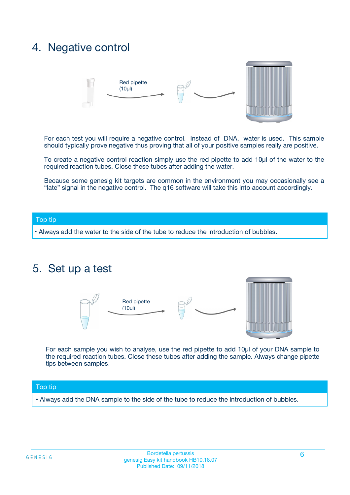## 4. Negative control



For each test you will require a negative control. Instead of DNA, water is used. This sample should typically prove negative thus proving that all of your positive samples really are positive.

To create a negative control reaction simply use the red pipette to add 10µl of the water to the required reaction tubes. Close these tubes after adding the water.

Because some genesig kit targets are common in the environment you may occasionally see a "late" signal in the negative control. The q16 software will take this into account accordingly.

#### Top tip

**•** Always add the water to the side of the tube to reduce the introduction of bubbles.

### 5. Set up a test



For each sample you wish to analyse, use the red pipette to add 10µl of your DNA sample to the required reaction tubes. Close these tubes after adding the sample. Always change pipette tips between samples.

#### Top tip

**•** Always add the DNA sample to the side of the tube to reduce the introduction of bubbles.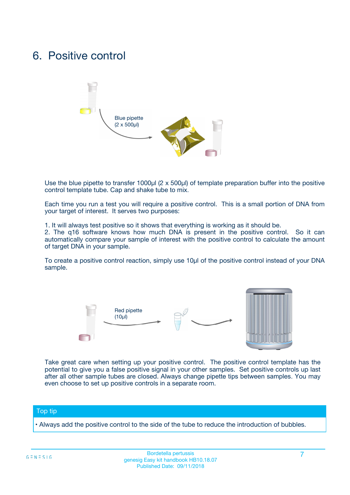## 6. Positive control



Use the blue pipette to transfer 1000µl (2 x 500µl) of template preparation buffer into the positive control template tube. Cap and shake tube to mix.

Each time you run a test you will require a positive control. This is a small portion of DNA from your target of interest. It serves two purposes:

1. It will always test positive so it shows that everything is working as it should be.

2. The q16 software knows how much DNA is present in the positive control. So it can automatically compare your sample of interest with the positive control to calculate the amount of target DNA in your sample.

To create a positive control reaction, simply use 10µl of the positive control instead of your DNA sample.



Take great care when setting up your positive control. The positive control template has the potential to give you a false positive signal in your other samples. Set positive controls up last after all other sample tubes are closed. Always change pipette tips between samples. You may even choose to set up positive controls in a separate room.

#### Top tip

**•** Always add the positive control to the side of the tube to reduce the introduction of bubbles.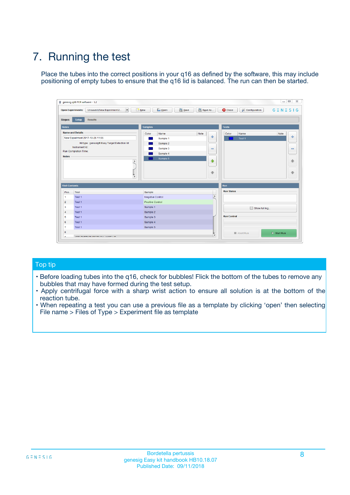# 7. Running the test

Place the tubes into the correct positions in your q16 as defined by the software, this may include positioning of empty tubes to ensure that the q16 lid is balanced. The run can then be started.

| genesig q16 PCR software - 1.2                                               |                                     | $\Box$                                                                                  |
|------------------------------------------------------------------------------|-------------------------------------|-----------------------------------------------------------------------------------------|
| Unsaved (New Experiment 2<br>$\vert \cdot \vert$<br><b>Open Experiments:</b> | <b>D</b> Open<br>Save<br>$\Box$ New | Save As<br><b>C</b> Close<br>$G \equiv N \equiv S \mid G$<br><b>&amp; Configuration</b> |
| Setup<br><b>Results</b><br><b>Stages:</b>                                    |                                     |                                                                                         |
| <b>Notes</b>                                                                 | Samples                             | <b>Tests</b>                                                                            |
| <b>Name and Details</b>                                                      | Color<br>Name                       | Note<br>Color<br>Note<br>Name                                                           |
| New Experiment 2017-10-26 11:06                                              | Sample 1                            | ع<br>条<br>Test 1                                                                        |
| Kit type: genesig® Easy Target Detection kit                                 | Sample 2                            |                                                                                         |
| Instrument Id.:                                                              | Sample 3                            | $\qquad \qquad \blacksquare$<br>$\qquad \qquad \blacksquare$                            |
| Run Completion Time:                                                         | Sample 4                            |                                                                                         |
| <b>Notes</b>                                                                 | Sample 5<br>A<br>v                  | $\triangle$<br>4<br>$\oplus$<br>₩                                                       |
| <b>Well Contents</b>                                                         |                                     | <b>Run</b>                                                                              |
| Pos.<br>Test                                                                 | Sample                              | <b>Run Status</b>                                                                       |
| Test 1<br>-1                                                                 | <b>Negative Control</b>             | $\blacktriangle$                                                                        |
| $\overline{2}$<br>Test 1                                                     | <b>Positive Control</b>             |                                                                                         |
| $\overline{\mathbf{3}}$<br>Test 1                                            | Sample 1                            | Show full log                                                                           |
| Test 1<br>$\overline{4}$                                                     | Sample 2                            |                                                                                         |
| 5<br>Test 1                                                                  | Sample 3                            | <b>Run Control</b>                                                                      |
| 6<br>Test 1                                                                  | Sample 4                            |                                                                                         |
| $\overline{7}$<br>Test 1                                                     | Sample 5                            |                                                                                         |
| 8                                                                            |                                     | $\triangleright$ Start Run<br>Abort Run                                                 |
| <b>JOD FURTY TUDE TO BUILDED IN</b>                                          |                                     | $\overline{\mathbf{v}}$                                                                 |

#### Top tip

- Before loading tubes into the q16, check for bubbles! Flick the bottom of the tubes to remove any bubbles that may have formed during the test setup.
- Apply centrifugal force with a sharp wrist action to ensure all solution is at the bottom of the reaction tube.
- When repeating a test you can use a previous file as a template by clicking 'open' then selecting File name > Files of Type > Experiment file as template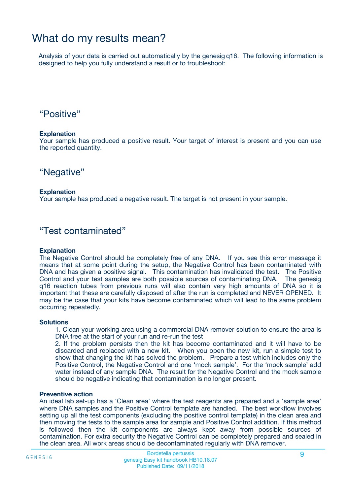## What do my results mean?

Analysis of your data is carried out automatically by the genesig q16. The following information is designed to help you fully understand a result or to troubleshoot:

### "Positive"

#### **Explanation**

Your sample has produced a positive result. Your target of interest is present and you can use the reported quantity.

"Negative"

#### **Explanation**

Your sample has produced a negative result. The target is not present in your sample.

### "Test contaminated"

#### **Explanation**

The Negative Control should be completely free of any DNA. If you see this error message it means that at some point during the setup, the Negative Control has been contaminated with DNA and has given a positive signal. This contamination has invalidated the test. The Positive Control and your test samples are both possible sources of contaminating DNA. The genesig q16 reaction tubes from previous runs will also contain very high amounts of DNA so it is important that these are carefully disposed of after the run is completed and NEVER OPENED. It may be the case that your kits have become contaminated which will lead to the same problem occurring repeatedly.

#### **Solutions**

1. Clean your working area using a commercial DNA remover solution to ensure the area is DNA free at the start of your run and re-run the test

2. If the problem persists then the kit has become contaminated and it will have to be discarded and replaced with a new kit. When you open the new kit, run a simple test to show that changing the kit has solved the problem. Prepare a test which includes only the Positive Control, the Negative Control and one 'mock sample'. For the 'mock sample' add water instead of any sample DNA. The result for the Negative Control and the mock sample should be negative indicating that contamination is no longer present.

#### **Preventive action**

An ideal lab set-up has a 'Clean area' where the test reagents are prepared and a 'sample area' where DNA samples and the Positive Control template are handled. The best workflow involves setting up all the test components (excluding the positive control template) in the clean area and then moving the tests to the sample area for sample and Positive Control addition. If this method is followed then the kit components are always kept away from possible sources of contamination. For extra security the Negative Control can be completely prepared and sealed in the clean area. All work areas should be decontaminated regularly with DNA remover.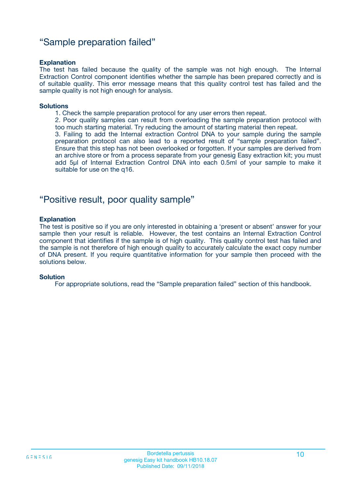### "Sample preparation failed"

#### **Explanation**

The test has failed because the quality of the sample was not high enough. The Internal Extraction Control component identifies whether the sample has been prepared correctly and is of suitable quality. This error message means that this quality control test has failed and the sample quality is not high enough for analysis.

#### **Solutions**

1. Check the sample preparation protocol for any user errors then repeat.

2. Poor quality samples can result from overloading the sample preparation protocol with too much starting material. Try reducing the amount of starting material then repeat.

3. Failing to add the Internal extraction Control DNA to your sample during the sample preparation protocol can also lead to a reported result of "sample preparation failed". Ensure that this step has not been overlooked or forgotten. If your samples are derived from an archive store or from a process separate from your genesig Easy extraction kit; you must add 5µl of Internal Extraction Control DNA into each 0.5ml of your sample to make it suitable for use on the q16.

### "Positive result, poor quality sample"

#### **Explanation**

The test is positive so if you are only interested in obtaining a 'present or absent' answer for your sample then your result is reliable. However, the test contains an Internal Extraction Control component that identifies if the sample is of high quality. This quality control test has failed and the sample is not therefore of high enough quality to accurately calculate the exact copy number of DNA present. If you require quantitative information for your sample then proceed with the solutions below.

#### **Solution**

For appropriate solutions, read the "Sample preparation failed" section of this handbook.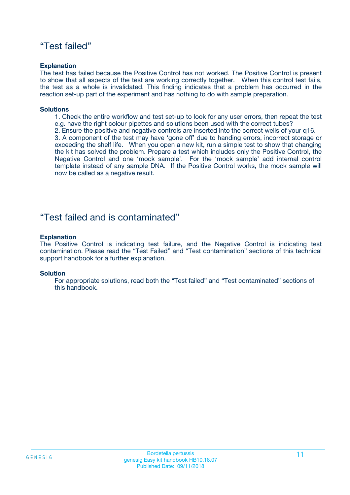### "Test failed"

#### **Explanation**

The test has failed because the Positive Control has not worked. The Positive Control is present to show that all aspects of the test are working correctly together. When this control test fails, the test as a whole is invalidated. This finding indicates that a problem has occurred in the reaction set-up part of the experiment and has nothing to do with sample preparation.

#### **Solutions**

- 1. Check the entire workflow and test set-up to look for any user errors, then repeat the test e.g. have the right colour pipettes and solutions been used with the correct tubes?
- 2. Ensure the positive and negative controls are inserted into the correct wells of your q16.

3. A component of the test may have 'gone off' due to handing errors, incorrect storage or exceeding the shelf life. When you open a new kit, run a simple test to show that changing the kit has solved the problem. Prepare a test which includes only the Positive Control, the Negative Control and one 'mock sample'. For the 'mock sample' add internal control template instead of any sample DNA. If the Positive Control works, the mock sample will now be called as a negative result.

### "Test failed and is contaminated"

#### **Explanation**

The Positive Control is indicating test failure, and the Negative Control is indicating test contamination. Please read the "Test Failed" and "Test contamination" sections of this technical support handbook for a further explanation.

#### **Solution**

For appropriate solutions, read both the "Test failed" and "Test contaminated" sections of this handbook.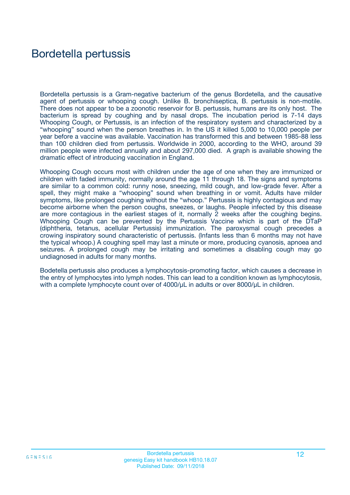## Bordetella pertussis

Bordetella pertussis is a Gram-negative bacterium of the genus Bordetella, and the causative agent of pertussis or whooping cough. Unlike B. bronchiseptica, B. pertussis is non-motile. There does not appear to be a zoonotic reservoir for B. pertussis, humans are its only host. The bacterium is spread by coughing and by nasal drops. The incubation period is 7-14 days Whooping Cough, or Pertussis, is an infection of the respiratory system and characterized by a "whooping" sound when the person breathes in. In the US it killed 5,000 to 10,000 people per year before a vaccine was available. Vaccination has transformed this and between 1985-88 less than 100 children died from pertussis. Worldwide in 2000, according to the WHO, around 39 million people were infected annually and about 297,000 died. A graph is available showing the dramatic effect of introducing vaccination in England.

Whooping Cough occurs most with children under the age of one when they are immunized or children with faded immunity, normally around the age 11 through 18. The signs and symptoms are similar to a common cold: runny nose, sneezing, mild cough, and low-grade fever. After a spell, they might make a "whooping" sound when breathing in or vomit. Adults have milder symptoms, like prolonged coughing without the "whoop." Pertussis is highly contagious and may become airborne when the person coughs, sneezes, or laughs. People infected by this disease are more contagious in the earliest stages of it, normally 2 weeks after the coughing begins. Whooping Cough can be prevented by the Pertussis Vaccine which is part of the DTaP (diphtheria, tetanus, acellular Pertussis) immunization. The paroxysmal cough precedes a crowing inspiratory sound characteristic of pertussis. (Infants less than 6 months may not have the typical whoop.) A coughing spell may last a minute or more, producing cyanosis, apnoea and seizures. A prolonged cough may be irritating and sometimes a disabling cough may go undiagnosed in adults for many months.

Bodetella pertussis also produces a lymphocytosis-promoting factor, which causes a decrease in the entry of lymphocytes into lymph nodes. This can lead to a condition known as lymphocytosis, with a complete lymphocyte count over of 4000/μL in adults or over 8000/μL in children.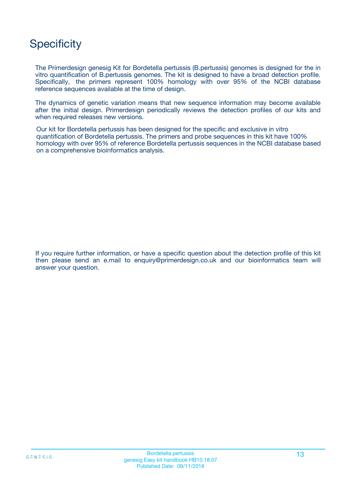# **Specificity**

The Primerdesign genesig Kit for Bordetella pertussis (B.pertussis) genomes is designed for the in vitro quantification of B.pertussis genomes. The kit is designed to have a broad detection profile. Specifically, the primers represent 100% homology with over 95% of the NCBI database reference sequences available at the time of design.

The dynamics of genetic variation means that new sequence information may become available after the initial design. Primerdesign periodically reviews the detection profiles of our kits and when required releases new versions.

Our kit for Bordetella pertussis has been designed for the specific and exclusive in vitro quantification of Bordetella pertussis. The primers and probe sequences in this kit have 100% homology with over 95% of reference Bordetella pertussis sequences in the NCBI database based on a comprehensive bioinformatics analysis.

If you require further information, or have a specific question about the detection profile of this kit then please send an e.mail to enquiry@primerdesign.co.uk and our bioinformatics team will answer your question.